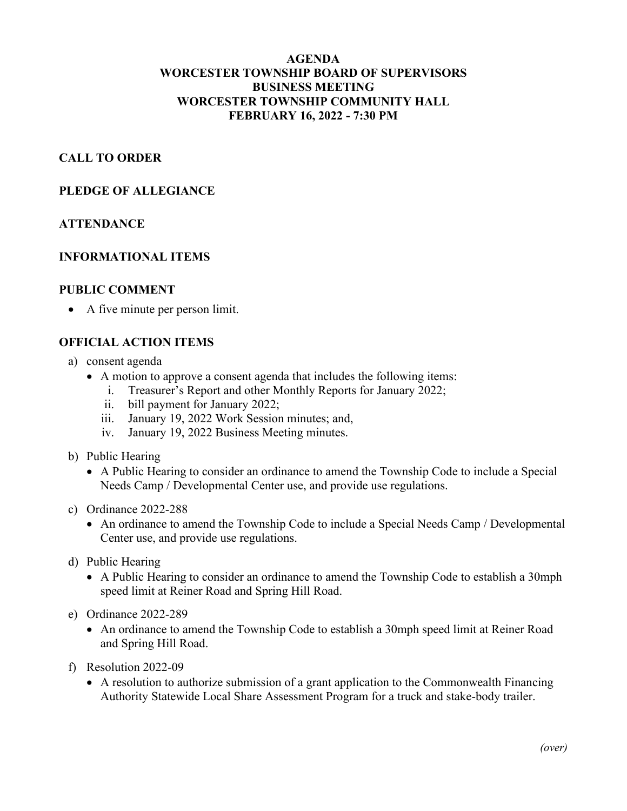# **AGENDA WORCESTER TOWNSHIP BOARD OF SUPERVISORS BUSINESS MEETING WORCESTER TOWNSHIP COMMUNITY HALL FEBRUARY 16, 2022 - 7:30 PM**

# **CALL TO ORDER**

### **PLEDGE OF ALLEGIANCE**

#### **ATTENDANCE**

#### **INFORMATIONAL ITEMS**

#### **PUBLIC COMMENT**

• A five minute per person limit.

### **OFFICIAL ACTION ITEMS**

- a) consent agenda
	- A motion to approve a consent agenda that includes the following items:
		- i. Treasurer's Report and other Monthly Reports for January 2022;
		- ii. bill payment for January 2022;
		- iii. January 19, 2022 Work Session minutes; and,
		- iv. January 19, 2022 Business Meeting minutes.
- b) Public Hearing
	- A Public Hearing to consider an ordinance to amend the Township Code to include a Special Needs Camp / Developmental Center use, and provide use regulations.
- c) Ordinance 2022-288
	- An ordinance to amend the Township Code to include a Special Needs Camp / Developmental Center use, and provide use regulations.
- d) Public Hearing
	- A Public Hearing to consider an ordinance to amend the Township Code to establish a 30mph speed limit at Reiner Road and Spring Hill Road.
- e) Ordinance 2022-289
	- An ordinance to amend the Township Code to establish a 30mph speed limit at Reiner Road and Spring Hill Road.
- f) Resolution 2022-09
	- A resolution to authorize submission of a grant application to the Commonwealth Financing Authority Statewide Local Share Assessment Program for a truck and stake-body trailer.